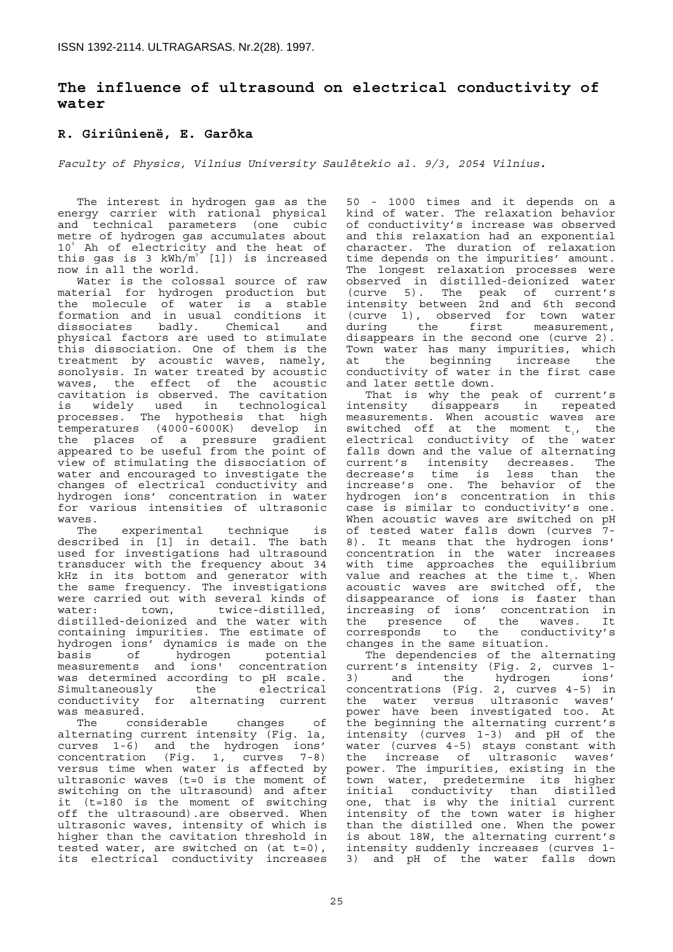# **The influence of ultrasound on electrical conductivity of water**

# **R. Giriûnienë, E. Garðka**

*Faculty of Physics, Vilnius University Saulëtekio al. 9/3, 2054 Vilnius.* 

The interest in hydrogen gas as the energy carrier with rational physical and technical parameters (one cubic metre of hydrogen gas accumulates about 10<sup>3</sup> Ah of electricity and the heat of this gas is 3 kWh/ $m^3$  [1]) is increased now in all the world.

Water is the colossal source of raw material for hydrogen production but the molecule of water is a stable formation and in usual conditions it dissociates badly. Chemical and physical factors are used to stimulate this dissociation. One of them is the treatment by acoustic waves, namely, sonolysis. In water treated by acoustic waves, the effect of the acoustic cavitation is observed. The cavitation is widely used in technological processes. The hypothesis that high temperatures (4000-6000K) develop in the places of a pressure gradient appeared to be useful from the point of view of stimulating the dissociation of water and encouraged to investigate the changes of electrical conductivity and hydrogen ions' concentration in water for various intensities of ultrasonic waves.

The experimental technique is described in [1] in detail. The bath used for investigations had ultrasound transducer with the frequency about 34 kHz in its bottom and generator with the same frequency. The investigations were carried out with several kinds of<br>water: town, twice-distilled, water: town, twice-distilled, distilled-deionized and the water with containing impurities. The estimate of hydrogen ions' dynamics is made on the basis of hydrogen potential measurements and ions' concentration was determined according to pH scale. Simultaneously the electrical conductivity for alternating current was measured.

The considerable changes of alternating current intensity (Fig. 1a, curves 1-6) and the hydrogen ions' concentration (Fig. 1, curves 7-8) versus time when water is affected by ultrasonic waves (t=0 is the moment of switching on the ultrasound) and after it (t=180 is the moment of switching off the ultrasound).are observed. When ultrasonic waves, intensity of which is higher than the cavitation threshold in tested water, are switched on (at t=0), its electrical conductivity increases

50 - 1000 times and it depends on a kind of water. The relaxation behavior of conductivity's increase was observed and this relaxation had an exponential character. The duration of relaxation time depends on the impurities' amount. The longest relaxation processes were observed in distilled-deionized water (curve 5). The peak of current's intensity between 2nd and 6th second (curve 1), observed for town water during the first measurement, disappears in the second one (curve 2). Town water has many impurities, which at the beginning increase the conductivity of water in the first case and later settle down.

That is why the peak of current's intensity disappears in repeated measurements. When acoustic waves are switched off at the moment  $t_1$ , the electrical conductivity of the water falls down and the value of alternating current's intensity decreases. The decrease's time is less than the decrease's time is less than the<br>increase's one. The behavior of the hydrogen ion's concentration in this case is similar to conductivity's one. When acoustic waves are switched on pH of tested water falls down (curves 7- 8). It means that the hydrogen ions' concentration in the water increases with time approaches the equilibrium value and reaches at the time  $t<sub>i</sub>$ . When acoustic waves are switched off, the disappearance of ions is faster than increasing of ions' concentration in the presence of the waves. It corresponds to the conductivity's changes in the same situation.

The dependencies of the alternating current's intensity (Fig. 2, curves 1- 3) and the hydrogen ions' concentrations (Fig. 2, curves 4-5) in the water versus ultrasonic waves' power have been investigated too. At the beginning the alternating current's intensity (curves 1-3) and pH of the water (curves 4-5) stays constant with the increase of ultrasonic waves' power. The impurities, existing in the town water, predetermine its higher initial conductivity than distilled one, that is why the initial current intensity of the town water is higher than the distilled one. When the power is about 18W, the alternating current's intensity suddenly increases (curves 1- 3) and pH of the water falls down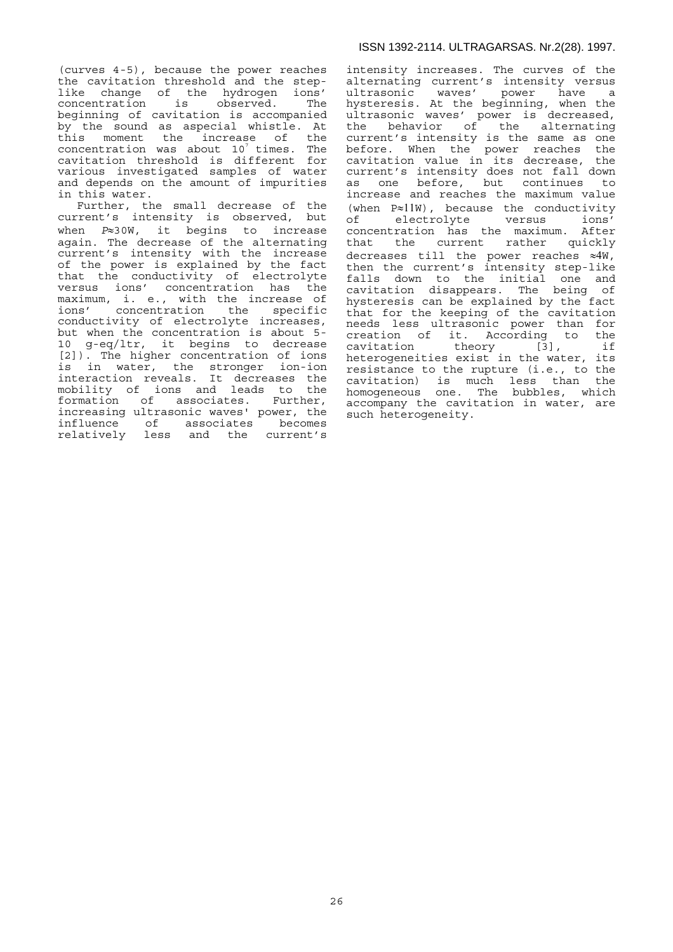(curves 4-5), because the power reaches the cavitation threshold and the steplike change of the hydrogen ions' concentration is observed. The beginning of cavitation is accompanied by the sound as aspecial whistle. At this moment the increase of the concentration was about  $10^7$  times. The cavitation threshold is different for various investigated samples of water and depends on the amount of impurities in this water.

Further, the small decrease of the current's intensity is observed, but when *P*≈30W, it begins to increase again. The decrease of the alternating current's intensity with the increase of the power is explained by the fact that the conductivity of electrolyte versus ions' concentration has the maximum, i. e., with the increase of ions' concentration the specific conductivity of electrolyte increases, but when the concentration is about 5- 10 g-eq/ltr, it begins to decrease [2]). The higher concentration of ions is in water, the stronger ion-ion interaction reveals. It decreases the mobility of ions and leads to the formation of associates. Further, increasing ultrasonic waves' power, the influence of associates becomes relatively less and the current's intensity increases. The curves of the alternating current's intensity versus ultrasonic waves' power have a hysteresis. At the beginning, when the ultrasonic waves' power is decreased, the behavior of the alternating current's intensity is the same as one before. When the power reaches the cavitation value in its decrease, the current's intensity does not fall down as one before, but continues to increase and reaches the maximum value (when P≈11W), because the conductivity of electrolyte versus ions' concentration has the maximum. After that the current rather quickly decreases till the power reaches ≈4W, then the current's intensity step-like falls down to the initial one and cavitation disappears. The being of hysteresis can be explained by the fact that for the keeping of the cavitation needs less ultrasonic power than for creation of it. According to the cavitation theory [3], if heterogeneities exist in the water, its resistance to the rupture (i.e., to the cavitation) is much less than the homogeneous one. The bubbles, which accompany the cavitation in water, are such heterogeneity.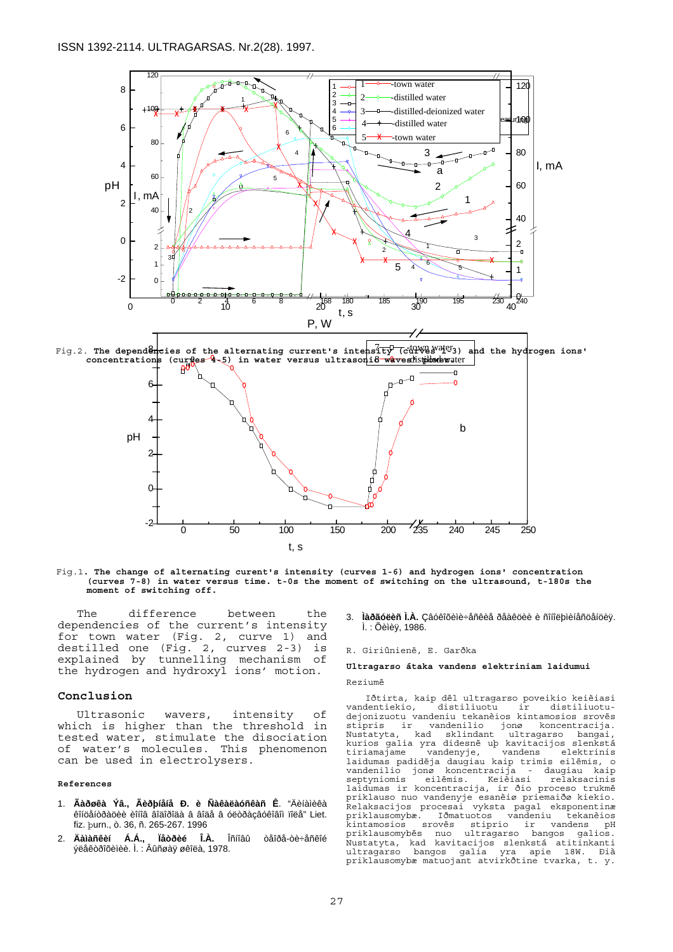

Fig.1**. The change of alternating curent's intensity (curves 1-6) and hydrogen ions' concentration (curves 7-8) in water versus time. t-0s the moment of switching on the ultrasound, t-180s the moment of switching off.** 

t, s

0 50 100 150 200 235 240 245 250

The difference between the dependencies of the current's intensity for town water (Fig. 2, curve 1) and destilled one (Fig. 2, curves 2-3) is explained by tunnelling mechanism of the hydrogen and hydroxyl ions' motion.

-2

### **Conclusion**

Ultrasonic wavers, intensity of which is higher than the threshold in tested water, stimulate the disociation of water's molecules. This phenomenon can be used in electrolysers.

#### **References**

- 1. **Ãàðøêà Ýâ., Ãèðþíåíå Ð. è Ñàêàëàóñêàñ Ê**. "Äèíàìèêà êîíöåíòðàöèè èîíîâ âîäîðîäà â âîäå â óëòðàçâóêîâîì ïîëå" Liet. fiz. þurn., ò. 36, ñ. 265-267. 1996
- 2. **Äàìàñêèí Á.Á., Ïåòðèé Î.À.** Îñíîâû òåîðå-òè÷åñêîé ýëåêòðîõèìèè. Ì. : Âûñøàÿ øêîëà, 1978.

3. **Ìàðãóëèñ Ì.À.** Çâóêîõèìè÷åñêèå ðåàêöèè è ñîíîëþìèíåñöåíöèÿ. Ì. : Õèìèÿ, 1986.

#### R. Giriûnienë, E. Garðka

### **Ultragarso átaka vandens elektriniam laidumui**  Reziumë

Iðtirta, kaip dël ultragarso poveikio keièiasi vandentiekio, dejonizuotu vandeniu tekanèios kintamosios srovës stipris ir vandenilio jonø koncentracija. Nustatyta, kad sklindant ultragarso bangai, kurios galia yra didesnë uþ kavitacijos slenkstá tiriamajame vandenyje, vandens elektrinis tiriamajame vandenyje, vandens elektrinis<br>laidumas padidëja daugiau kaip trimis eilëmis, o<br>vandenilio jonø koncentracija - daugiau kaip vandenilio jonø koncentracija septyniomis eilėmis. Keièiasi relaksacinis<br>laidumas ir koncentracija, ir ðio proceso trukmė<br>priklauso nuo vandenyje esanèiø priemaiðø kiekio.<br>Relaksacijos procesai vyksta pagal eksponentinæ<br>priklausomybæ. Iðmatuotos vanden kintamosios srovës stiprio ir vandens pH priklausomybës nuo ultragarso bangos galios. Nustatyta, kad kavitacijos slenkstá atitinkanti ultragarso bangos galia yra apie 18W. Ðià priklausomybæ matuojant atvirkðtine tvarka, t. y.